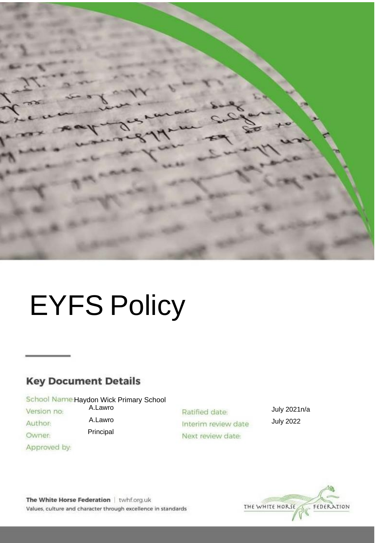

# EYFS Policy

# **Key Document Details**

School Name Haydon Wick Primary School A.Lawro

> A.Lawro Principal

Version no:

- Author:
- Owner:
- Approved by:

Ratified date: Interim review date Next review date:

July 2021n/a July 2022



The White Horse Federation | twhf.org.uk Values, culture and character through excellence in standards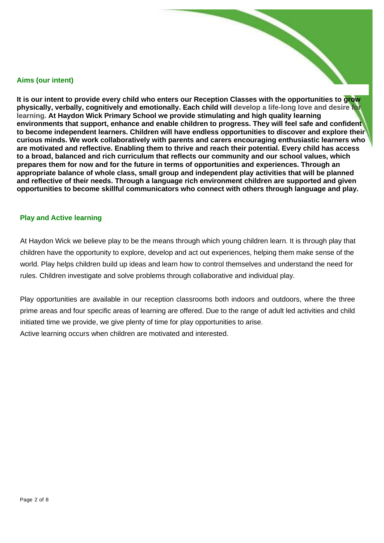#### **Aims (our intent)**

It is our intent to provide every child who enters our Reception Classes with the opportunities to grow **physically, verbally, cognitively and emotionally. Each child will develop a life-long love and desire for learning. At Haydon Wick Primary School we provide stimulating and high quality learning environments that support, enhance and enable children to progress. They will feel safe and confident to become independent learners. Children will have endless opportunities to discover and explore their curious minds. We work collaboratively with parents and carers encouraging enthusiastic learners who are motivated and reflective. Enabling them to thrive and reach their potential. Every child has access to a broad, balanced and rich curriculum that reflects our community and our school values, which prepares them for now and for the future in terms of opportunities and experiences. Through an appropriate balance of whole class, small group and independent play activities that will be planned and reflective of their needs. Through a language rich environment children are supported and given opportunities to become skillful communicators who connect with others through language and play.** 

#### **Play and Active learning**

At Haydon Wick we believe play to be the means through which young children learn. It is through play that children have the opportunity to explore, develop and act out experiences, helping them make sense of the world. Play helps children build up ideas and learn how to control themselves and understand the need for rules. Children investigate and solve problems through collaborative and individual play.

Play opportunities are available in our reception classrooms both indoors and outdoors, where the three prime areas and four specific areas of learning are offered. Due to the range of adult led activities and child initiated time we provide, we give plenty of time for play opportunities to arise. Active learning occurs when children are motivated and interested.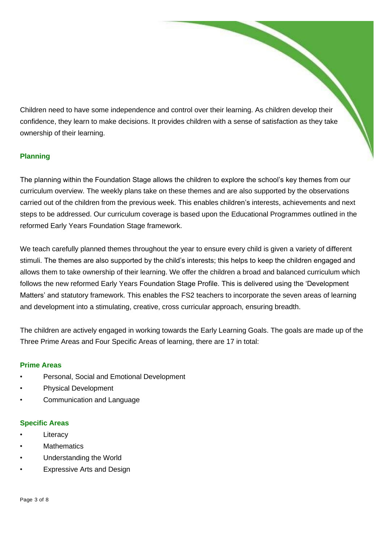Children need to have some independence and control over their learning. As children develop their confidence, they learn to make decisions. It provides children with a sense of satisfaction as they take ownership of their learning.

# **Planning**

The planning within the Foundation Stage allows the children to explore the school's key themes from our curriculum overview. The weekly plans take on these themes and are also supported by the observations carried out of the children from the previous week. This enables children's interests, achievements and next steps to be addressed. Our curriculum coverage is based upon the Educational Programmes outlined in the reformed Early Years Foundation Stage framework.

We teach carefully planned themes throughout the year to ensure every child is given a variety of different stimuli. The themes are also supported by the child's interests; this helps to keep the children engaged and allows them to take ownership of their learning. We offer the children a broad and balanced curriculum which follows the new reformed Early Years Foundation Stage Profile. This is delivered using the 'Development Matters' and statutory framework. This enables the FS2 teachers to incorporate the seven areas of learning and development into a stimulating, creative, cross curricular approach, ensuring breadth.

The children are actively engaged in working towards the Early Learning Goals. The goals are made up of the Three Prime Areas and Four Specific Areas of learning, there are 17 in total:

#### **Prime Areas**

- Personal, Social and Emotional Development
- Physical Development
- Communication and Language

#### **Specific Areas**

- **Literacy**
- **Mathematics**
- Understanding the World
- Expressive Arts and Design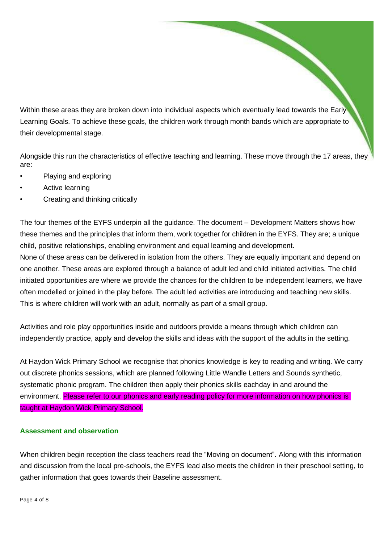Within these areas they are broken down into individual aspects which eventually lead towards the Early Learning Goals. To achieve these goals, the children work through month bands which are appropriate to their developmental stage.

Alongside this run the characteristics of effective teaching and learning. These move through the 17 areas, they are:

- Playing and exploring
- Active learning
- Creating and thinking critically

The four themes of the EYFS underpin all the guidance. The document – Development Matters shows how these themes and the principles that inform them, work together for children in the EYFS. They are; a unique child, positive relationships, enabling environment and equal learning and development.

None of these areas can be delivered in isolation from the others. They are equally important and depend on one another. These areas are explored through a balance of adult led and child initiated activities. The child initiated opportunities are where we provide the chances for the children to be independent learners, we have often modelled or joined in the play before. The adult led activities are introducing and teaching new skills. This is where children will work with an adult, normally as part of a small group.

Activities and role play opportunities inside and outdoors provide a means through which children can independently practice, apply and develop the skills and ideas with the support of the adults in the setting.

At Haydon Wick Primary School we recognise that phonics knowledge is key to reading and writing. We carry out discrete phonics sessions, which are planned following Little Wandle Letters and Sounds synthetic, systematic phonic program. The children then apply their phonics skills eachday in and around the environment. Please refer to our phonics and early reading policy for more information on how phonics is taught at Haydon Wick Primary School.

# **Assessment and observation**

When children begin reception the class teachers read the "Moving on document". Along with this information and discussion from the local pre-schools, the EYFS lead also meets the children in their preschool setting, to gather information that goes towards their Baseline assessment.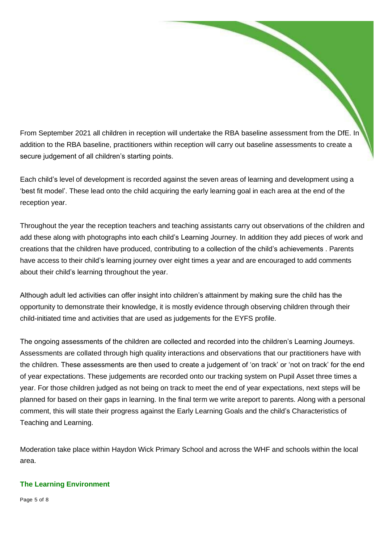From September 2021 all children in reception will undertake the RBA baseline assessment from the DfE. In addition to the RBA baseline, practitioners within reception will carry out baseline assessments to create a secure judgement of all children's starting points.

Each child's level of development is recorded against the seven areas of learning and development using a 'best fit model'. These lead onto the child acquiring the early learning goal in each area at the end of the reception year.

Throughout the year the reception teachers and teaching assistants carry out observations of the children and add these along with photographs into each child's Learning Journey. In addition they add pieces of work and creations that the children have produced, contributing to a collection of the child's achievements . Parents have access to their child's learning journey over eight times a year and are encouraged to add comments about their child's learning throughout the year.

Although adult led activities can offer insight into children's attainment by making sure the child has the opportunity to demonstrate their knowledge, it is mostly evidence through observing children through their child-initiated time and activities that are used as judgements for the EYFS profile.

The ongoing assessments of the children are collected and recorded into the children's Learning Journeys. Assessments are collated through high quality interactions and observations that our practitioners have with the children. These assessments are then used to create a judgement of 'on track' or 'not on track' for the end of year expectations. These judgements are recorded onto our tracking system on Pupil Asset three times a year. For those children judged as not being on track to meet the end of year expectations, next steps will be planned for based on their gaps in learning. In the final term we write a report to parents. Along with a personal comment, this will state their progress against the Early Learning Goals and the child's Characteristics of Teaching and Learning.

Moderation take place within Haydon Wick Primary School and across the WHF and schools within the local area.

# **The Learning Environment**

Page 5 of 8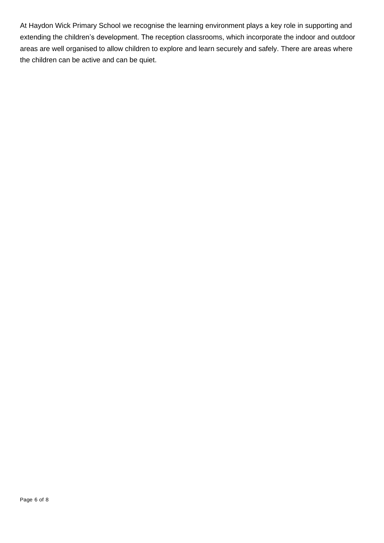At Haydon Wick Primary School we recognise the learning environment plays a key role in supporting and extending the children's development. The reception classrooms, which incorporate the indoor and outdoor areas are well organised to allow children to explore and learn securely and safely. There are areas where the children can be active and can be quiet.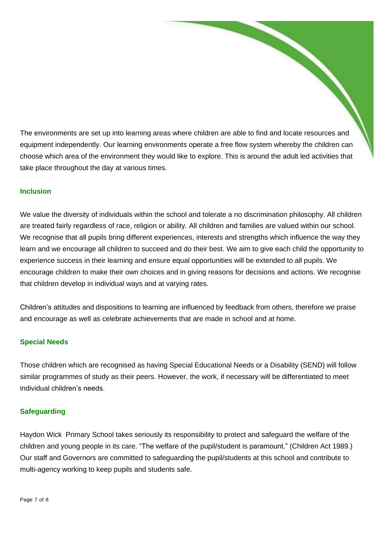The environments are set up into learning areas where children are able to find and locate resources and equipment independently. Our learning environments operate a free flow system whereby the children can choose which area of the environment they would like to explore. This is around the adult led activities that take place throughout the day at various times.

#### **Inclusion**

We value the diversity of individuals within the school and tolerate a no discrimination philosophy. All children are treated fairly regardless of race, religion or ability. All children and families are valued within our school. We recognise that all pupils bring different experiences, interests and strengths which influence the way they learn and we encourage all children to succeed and do their best. We aim to give each child the opportunity to experience success in their learning and ensure equal opportunities will be extended to all pupils. We encourage children to make their own choices and in giving reasons for decisions and actions. We recognise that children develop in individual ways and at varying rates.

Children's attitudes and dispositions to learning are influenced by feedback from others, therefore we praise and encourage as well as celebrate achievements that are made in school and at home.

# **Special Needs**

Those children which are recognised as having Special Educational Needs or a Disability (SEND) will follow similar programmes of study as their peers. However, the work, if necessary will be differentiated to meet individual children's needs.

#### **Safeguarding**

Haydon Wick Primary School takes seriously its responsibility to protect and safeguard the welfare of the children and young people in its care. "The welfare of the pupil/student is paramount." (Children Act 1989.) Our staff and Governors are committed to safeguarding the pupil/students at this school and contribute to multi-agency working to keep pupils and students safe.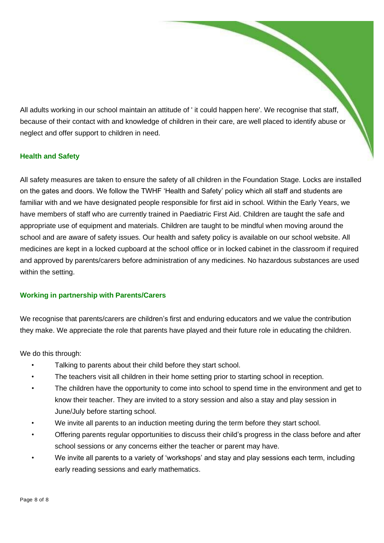All adults working in our school maintain an attitude of ' it could happen here'. We recognise that staff, because of their contact with and knowledge of children in their care, are well placed to identify abuse or neglect and offer support to children in need.

# **Health and Safety**

All safety measures are taken to ensure the safety of all children in the Foundation Stage. Locks are installed on the gates and doors. We follow the TWHF 'Health and Safety' policy which all staff and students are familiar with and we have designated people responsible for first aid in school. Within the Early Years, we have members of staff who are currently trained in Paediatric First Aid. Children are taught the safe and appropriate use of equipment and materials. Children are taught to be mindful when moving around the school and are aware of safety issues. Our health and safety policy is available on our school website. All medicines are kept in a locked cupboard at the school office or in locked cabinet in the classroom if required and approved by parents/carers before administration of any medicines. No hazardous substances are used within the setting.

# **Working in partnership with Parents/Carers**

We recognise that parents/carers are children's first and enduring educators and we value the contribution they make. We appreciate the role that parents have played and their future role in educating the children.

We do this through:

- Talking to parents about their child before they start school.
- The teachers visit all children in their home setting prior to starting school in reception.
- The children have the opportunity to come into school to spend time in the environment and get to know their teacher. They are invited to a story session and also a stay and play session in June/July before starting school.
- We invite all parents to an induction meeting during the term before they start school.
- Offering parents regular opportunities to discuss their child's progress in the class before and after school sessions or any concerns either the teacher or parent may have.
- We invite all parents to a variety of 'workshops' and stay and play sessions each term, including early reading sessions and early mathematics.